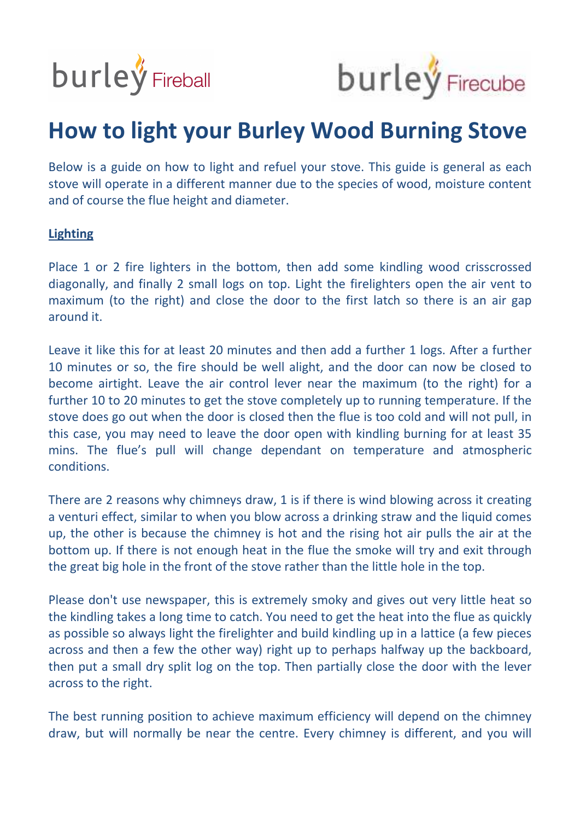



## **How to light your Burley Wood Burning Stove**

Below is a guide on how to light and refuel your stove. This guide is general as each stove will operate in a different manner due to the species of wood, moisture content and of course the flue height and diameter.

## **Lighting**

Place 1 or 2 fire lighters in the bottom, then add some kindling wood crisscrossed diagonally, and finally 2 small logs on top. Light the firelighters open the air vent to maximum (to the right) and close the door to the first latch so there is an air gap around it.

Leave it like this for at least 20 minutes and then add a further 1 logs. After a further 10 minutes or so, the fire should be well alight, and the door can now be closed to become airtight. Leave the air control lever near the maximum (to the right) for a further 10 to 20 minutes to get the stove completely up to running temperature. If the stove does go out when the door is closed then the flue is too cold and will not pull, in this case, you may need to leave the door open with kindling burning for at least 35 mins. The flue's pull will change dependant on temperature and atmospheric conditions.

There are 2 reasons why chimneys draw, 1 is if there is wind blowing across it creating a venturi effect, similar to when you blow across a drinking straw and the liquid comes up, the other is because the chimney is hot and the rising hot air pulls the air at the bottom up. If there is not enough heat in the flue the smoke will try and exit through the great big hole in the front of the stove rather than the little hole in the top.

Please don't use newspaper, this is extremely smoky and gives out very little heat so the kindling takes a long time to catch. You need to get the heat into the flue as quickly as possible so always light the firelighter and build kindling up in a lattice (a few pieces across and then a few the other way) right up to perhaps halfway up the backboard, then put a small dry split log on the top. Then partially close the door with the lever across to the right.

The best running position to achieve maximum efficiency will depend on the chimney draw, but will normally be near the centre. Every chimney is different, and you will